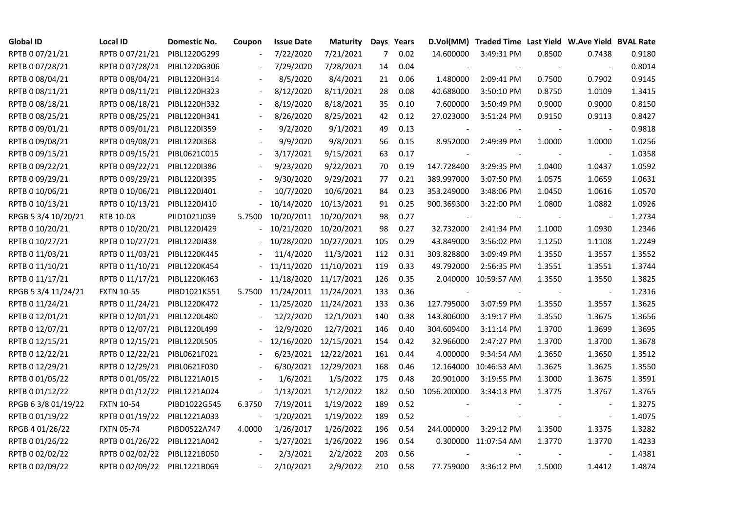| <b>Global ID</b>    | <b>Local ID</b>   | Domestic No. | Coupon                   | <b>Issue Date</b>     | <b>Maturity</b>      |     | Days Years |                | D.Vol(MM) Traded Time Last Yield W.Ave Yield BVAL Rate |        |                          |        |
|---------------------|-------------------|--------------|--------------------------|-----------------------|----------------------|-----|------------|----------------|--------------------------------------------------------|--------|--------------------------|--------|
| RPTB 0 07/21/21     | RPTB 0 07/21/21   | PIBL1220G299 |                          | 7/22/2020             | 7/21/2021            | 7   | 0.02       | 14.600000      | 3:49:31 PM                                             | 0.8500 | 0.7438                   | 0.9180 |
| RPTB 0 07/28/21     | RPTB 0 07/28/21   | PIBL1220G306 |                          | 7/29/2020             | 7/28/2021            | 14  | 0.04       |                |                                                        |        |                          | 0.8014 |
| RPTB 0 08/04/21     | RPTB 0 08/04/21   | PIBL1220H314 |                          | 8/5/2020              | 8/4/2021             | 21  | 0.06       | 1.480000       | 2:09:41 PM                                             | 0.7500 | 0.7902                   | 0.9145 |
| RPTB 0 08/11/21     | RPTB 0 08/11/21   | PIBL1220H323 | $\overline{\phantom{a}}$ | 8/12/2020             | 8/11/2021            | 28  | 0.08       | 40.688000      | 3:50:10 PM                                             | 0.8750 | 1.0109                   | 1.3415 |
| RPTB 0 08/18/21     | RPTB 0 08/18/21   | PIBL1220H332 |                          | 8/19/2020             | 8/18/2021            | 35  | 0.10       | 7.600000       | 3:50:49 PM                                             | 0.9000 | 0.9000                   | 0.8150 |
| RPTB 0 08/25/21     | RPTB 0 08/25/21   | PIBL1220H341 |                          | 8/26/2020             | 8/25/2021            | 42  | 0.12       | 27.023000      | 3:51:24 PM                                             | 0.9150 | 0.9113                   | 0.8427 |
| RPTB 0 09/01/21     | RPTB 0 09/01/21   | PIBL1220I359 |                          | 9/2/2020              | 9/1/2021             | 49  | 0.13       | $\blacksquare$ |                                                        |        | $\blacksquare$           | 0.9818 |
| RPTB 0 09/08/21     | RPTB 0 09/08/21   | PIBL1220I368 |                          | 9/9/2020              | 9/8/2021             | 56  | 0.15       | 8.952000       | 2:49:39 PM                                             | 1.0000 | 1.0000                   | 1.0256 |
| RPTB 0 09/15/21     | RPTB 0 09/15/21   | PIBL0621C015 |                          | 3/17/2021             | 9/15/2021            | 63  | 0.17       |                |                                                        |        |                          | 1.0358 |
| RPTB 0 09/22/21     | RPTB 0 09/22/21   | PIBL1220I386 |                          | 9/23/2020             | 9/22/2021            | 70  | 0.19       | 147.728400     | 3:29:35 PM                                             | 1.0400 | 1.0437                   | 1.0592 |
| RPTB 0 09/29/21     | RPTB 0 09/29/21   | PIBL1220I395 | $\overline{\phantom{a}}$ | 9/30/2020             | 9/29/2021            | 77  | 0.21       | 389.997000     | 3:07:50 PM                                             | 1.0575 | 1.0659                   | 1.0631 |
| RPTB 0 10/06/21     | RPTB 0 10/06/21   | PIBL1220J401 |                          | 10/7/2020             | 10/6/2021            | 84  | 0.23       | 353.249000     | 3:48:06 PM                                             | 1.0450 | 1.0616                   | 1.0570 |
| RPTB 0 10/13/21     | RPTB 0 10/13/21   | PIBL1220J410 |                          | 10/14/2020            | 10/13/2021           | 91  | 0.25       | 900.369300     | 3:22:00 PM                                             | 1.0800 | 1.0882                   | 1.0926 |
| RPGB 5 3/4 10/20/21 | RTB 10-03         | PIID1021J039 | 5.7500                   | 10/20/2011            | 10/20/2021           | 98  | 0.27       | $\blacksquare$ |                                                        |        | $\overline{\phantom{a}}$ | 1.2734 |
| RPTB 0 10/20/21     | RPTB 0 10/20/21   | PIBL1220J429 |                          | 10/21/2020            | 10/20/2021           | 98  | 0.27       | 32.732000      | 2:41:34 PM                                             | 1.1000 | 1.0930                   | 1.2346 |
| RPTB 0 10/27/21     | RPTB 0 10/27/21   | PIBL1220J438 |                          | 10/28/2020            | 10/27/2021           | 105 | 0.29       | 43.849000      | 3:56:02 PM                                             | 1.1250 | 1.1108                   | 1.2249 |
| RPTB 0 11/03/21     | RPTB 0 11/03/21   | PIBL1220K445 |                          | 11/4/2020             | 11/3/2021            | 112 | 0.31       | 303.828800     | 3:09:49 PM                                             | 1.3550 | 1.3557                   | 1.3552 |
| RPTB 0 11/10/21     | RPTB 0 11/10/21   | PIBL1220K454 |                          | 11/11/2020            | 11/10/2021           | 119 | 0.33       | 49.792000      | 2:56:35 PM                                             | 1.3551 | 1.3551                   | 1.3744 |
| RPTB 0 11/17/21     | RPTB 0 11/17/21   | PIBL1220K463 |                          | 11/18/2020            | 11/17/2021           | 126 | 0.35       |                | 2.040000 10:59:57 AM                                   | 1.3550 | 1.3550                   | 1.3825 |
| RPGB 5 3/4 11/24/21 | <b>FXTN 10-55</b> | PIBD1021K551 | 5.7500                   | 11/24/2011 11/24/2021 |                      | 133 | 0.36       | $\blacksquare$ |                                                        |        | $\overline{\phantom{a}}$ | 1.2316 |
| RPTB 0 11/24/21     | RPTB 0 11/24/21   | PIBL1220K472 |                          | 11/25/2020            | 11/24/2021           | 133 | 0.36       | 127.795000     | 3:07:59 PM                                             | 1.3550 | 1.3557                   | 1.3625 |
| RPTB 0 12/01/21     | RPTB 0 12/01/21   | PIBL1220L480 |                          | 12/2/2020             | 12/1/2021            | 140 | 0.38       | 143.806000     | 3:19:17 PM                                             | 1.3550 | 1.3675                   | 1.3656 |
| RPTB 0 12/07/21     | RPTB 0 12/07/21   | PIBL1220L499 |                          | 12/9/2020             | 12/7/2021            | 146 | 0.40       | 304.609400     | 3:11:14 PM                                             | 1.3700 | 1.3699                   | 1.3695 |
| RPTB 0 12/15/21     | RPTB 0 12/15/21   | PIBL1220L505 |                          | 12/16/2020            | 12/15/2021           | 154 | 0.42       | 32.966000      | 2:47:27 PM                                             | 1.3700 | 1.3700                   | 1.3678 |
| RPTB 0 12/22/21     | RPTB 0 12/22/21   | PIBL0621F021 |                          | 6/23/2021             | 12/22/2021           | 161 | 0.44       | 4.000000       | 9:34:54 AM                                             | 1.3650 | 1.3650                   | 1.3512 |
| RPTB 0 12/29/21     | RPTB 0 12/29/21   | PIBL0621F030 |                          |                       | 6/30/2021 12/29/2021 | 168 | 0.46       | 12.164000      | 10:46:53 AM                                            | 1.3625 | 1.3625                   | 1.3550 |
| RPTB 0 01/05/22     | RPTB 0 01/05/22   | PIBL1221A015 |                          | 1/6/2021              | 1/5/2022             | 175 | 0.48       | 20.901000      | 3:19:55 PM                                             | 1.3000 | 1.3675                   | 1.3591 |
| RPTB 0 01/12/22     | RPTB 0 01/12/22   | PIBL1221A024 | $\blacksquare$           | 1/13/2021             | 1/12/2022            | 182 | 0.50       | 1056.200000    | 3:34:13 PM                                             | 1.3775 | 1.3767                   | 1.3765 |
| RPGB 63/8 01/19/22  | <b>FXTN 10-54</b> | PIBD1022G545 | 6.3750                   | 7/19/2011             | 1/19/2022            | 189 | 0.52       |                |                                                        |        |                          | 1.3275 |
| RPTB 0 01/19/22     | RPTB 0 01/19/22   | PIBL1221A033 |                          | 1/20/2021             | 1/19/2022            | 189 | 0.52       |                |                                                        |        | $\overline{\phantom{a}}$ | 1.4075 |
| RPGB 4 01/26/22     | <b>FXTN 05-74</b> | PIBD0522A747 | 4.0000                   | 1/26/2017             | 1/26/2022            | 196 | 0.54       | 244.000000     | 3:29:12 PM                                             | 1.3500 | 1.3375                   | 1.3282 |
| RPTB 0 01/26/22     | RPTB 0 01/26/22   | PIBL1221A042 | $\blacksquare$           | 1/27/2021             | 1/26/2022            | 196 | 0.54       |                | 0.300000 11:07:54 AM                                   | 1.3770 | 1.3770                   | 1.4233 |
| RPTB 0 02/02/22     | RPTB 0 02/02/22   | PIBL1221B050 |                          | 2/3/2021              | 2/2/2022             | 203 | 0.56       |                |                                                        |        |                          | 1.4381 |
| RPTB 0 02/09/22     | RPTB 0 02/09/22   | PIBL1221B069 |                          | 2/10/2021             | 2/9/2022             | 210 | 0.58       | 77.759000      | 3:36:12 PM                                             | 1.5000 | 1.4412                   | 1.4874 |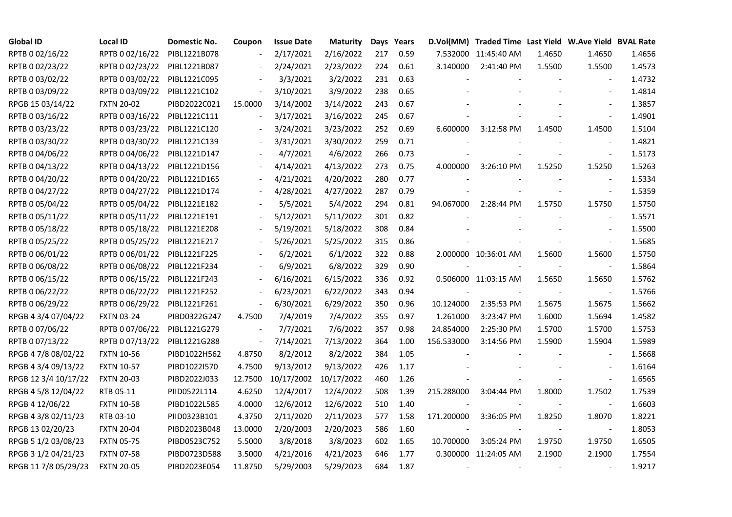| <b>Global ID</b>     | <b>Local ID</b>   | Domestic No. | Coupon                   | <b>Issue Date</b> | Maturity   |     | Days Years |            | D.Vol(MM) Traded Time Last Yield W.Ave Yield BVAL Rate |        |                          |        |
|----------------------|-------------------|--------------|--------------------------|-------------------|------------|-----|------------|------------|--------------------------------------------------------|--------|--------------------------|--------|
| RPTB 0 02/16/22      | RPTB 0 02/16/22   | PIBL1221B078 |                          | 2/17/2021         | 2/16/2022  | 217 | 0.59       |            | 7.532000 11:45:40 AM                                   | 1.4650 | 1.4650                   | 1.4656 |
| RPTB 0 02/23/22      | RPTB 0 02/23/22   | PIBL1221B087 |                          | 2/24/2021         | 2/23/2022  | 224 | 0.61       | 3.140000   | 2:41:40 PM                                             | 1.5500 | 1.5500                   | 1.4573 |
| RPTB 0 03/02/22      | RPTB 0 03/02/22   | PIBL1221C095 |                          | 3/3/2021          | 3/2/2022   | 231 | 0.63       |            |                                                        |        |                          | 1.4732 |
| RPTB 0 03/09/22      | RPTB 0 03/09/22   | PIBL1221C102 | $\overline{\phantom{a}}$ | 3/10/2021         | 3/9/2022   | 238 | 0.65       |            |                                                        |        | $\overline{a}$           | 1.4814 |
| RPGB 15 03/14/22     | <b>FXTN 20-02</b> | PIBD2022C021 | 15.0000                  | 3/14/2002         | 3/14/2022  | 243 | 0.67       |            |                                                        |        |                          | 1.3857 |
| RPTB 0 03/16/22      | RPTB 0 03/16/22   | PIBL1221C111 | $\blacksquare$           | 3/17/2021         | 3/16/2022  | 245 | 0.67       |            |                                                        |        |                          | 1.4901 |
| RPTB 0 03/23/22      | RPTB 0 03/23/22   | PIBL1221C120 |                          | 3/24/2021         | 3/23/2022  | 252 | 0.69       | 6.600000   | 3:12:58 PM                                             | 1.4500 | 1.4500                   | 1.5104 |
| RPTB 0 03/30/22      | RPTB 0 03/30/22   | PIBL1221C139 |                          | 3/31/2021         | 3/30/2022  | 259 | 0.71       |            |                                                        |        | $\overline{\phantom{a}}$ | 1.4821 |
| RPTB 0 04/06/22      | RPTB 0 04/06/22   | PIBL1221D147 |                          | 4/7/2021          | 4/6/2022   | 266 | 0.73       |            |                                                        |        | $\blacksquare$           | 1.5173 |
| RPTB 0 04/13/22      | RPTB 0 04/13/22   | PIBL1221D156 |                          | 4/14/2021         | 4/13/2022  | 273 | 0.75       | 4.000000   | 3:26:10 PM                                             | 1.5250 | 1.5250                   | 1.5263 |
| RPTB 0 04/20/22      | RPTB 0 04/20/22   | PIBL1221D165 | $\blacksquare$           | 4/21/2021         | 4/20/2022  | 280 | 0.77       |            |                                                        |        | $\blacksquare$           | 1.5334 |
| RPTB 0 04/27/22      | RPTB 0 04/27/22   | PIBL1221D174 |                          | 4/28/2021         | 4/27/2022  | 287 | 0.79       |            |                                                        |        | $\sim$                   | 1.5359 |
| RPTB 0 05/04/22      | RPTB 0 05/04/22   | PIBL1221E182 |                          | 5/5/2021          | 5/4/2022   | 294 | 0.81       | 94.067000  | 2:28:44 PM                                             | 1.5750 | 1.5750                   | 1.5750 |
| RPTB 0 05/11/22      | RPTB 0 05/11/22   | PIBL1221E191 |                          | 5/12/2021         | 5/11/2022  | 301 | 0.82       |            |                                                        |        | $\blacksquare$           | 1.5571 |
| RPTB 0 05/18/22      | RPTB 0 05/18/22   | PIBL1221E208 |                          | 5/19/2021         | 5/18/2022  | 308 | 0.84       |            |                                                        |        | $\overline{\phantom{a}}$ | 1.5500 |
| RPTB 0 05/25/22      | RPTB 0 05/25/22   | PIBL1221E217 |                          | 5/26/2021         | 5/25/2022  | 315 | 0.86       |            |                                                        |        |                          | 1.5685 |
| RPTB 0 06/01/22      | RPTB 0 06/01/22   | PIBL1221F225 |                          | 6/2/2021          | 6/1/2022   | 322 | 0.88       |            | 2.000000 10:36:01 AM                                   | 1.5600 | 1.5600                   | 1.5750 |
| RPTB 0 06/08/22      | RPTB 0 06/08/22   | PIBL1221F234 | $\overline{\phantom{a}}$ | 6/9/2021          | 6/8/2022   | 329 | 0.90       |            |                                                        |        | $\blacksquare$           | 1.5864 |
| RPTB 0 06/15/22      | RPTB 0 06/15/22   | PIBL1221F243 | $\blacksquare$           | 6/16/2021         | 6/15/2022  | 336 | 0.92       |            | 0.506000 11:03:15 AM                                   | 1.5650 | 1.5650                   | 1.5762 |
| RPTB 0 06/22/22      | RPTB 0 06/22/22   | PIBL1221F252 | $\overline{\phantom{a}}$ | 6/23/2021         | 6/22/2022  | 343 | 0.94       |            |                                                        |        |                          | 1.5766 |
| RPTB 0 06/29/22      | RPTB 0 06/29/22   | PIBL1221F261 | $\blacksquare$           | 6/30/2021         | 6/29/2022  | 350 | 0.96       | 10.124000  | 2:35:53 PM                                             | 1.5675 | 1.5675                   | 1.5662 |
| RPGB 4 3/4 07/04/22  | <b>FXTN 03-24</b> | PIBD0322G247 | 4.7500                   | 7/4/2019          | 7/4/2022   | 355 | 0.97       | 1.261000   | 3:23:47 PM                                             | 1.6000 | 1.5694                   | 1.4582 |
| RPTB 0 07/06/22      | RPTB 0 07/06/22   | PIBL1221G279 |                          | 7/7/2021          | 7/6/2022   | 357 | 0.98       | 24.854000  | 2:25:30 PM                                             | 1.5700 | 1.5700                   | 1.5753 |
| RPTB 0 07/13/22      | RPTB 0 07/13/22   | PIBL1221G288 | $\blacksquare$           | 7/14/2021         | 7/13/2022  | 364 | 1.00       | 156.533000 | 3:14:56 PM                                             | 1.5900 | 1.5904                   | 1.5989 |
| RPGB 4 7/8 08/02/22  | <b>FXTN 10-56</b> | PIBD1022H562 | 4.8750                   | 8/2/2012          | 8/2/2022   | 384 | 1.05       |            |                                                        |        | $\overline{\phantom{a}}$ | 1.5668 |
| RPGB 4 3/4 09/13/22  | <b>FXTN 10-57</b> | PIBD1022I570 | 4.7500                   | 9/13/2012         | 9/13/2022  | 426 | 1.17       |            |                                                        |        |                          | 1.6164 |
| RPGB 12 3/4 10/17/22 | <b>FXTN 20-03</b> | PIBD2022J033 | 12.7500                  | 10/17/2002        | 10/17/2022 | 460 | 1.26       |            |                                                        |        | $\blacksquare$           | 1.6565 |
| RPGB 4 5/8 12/04/22  | RTB 05-11         | PIID0522L114 | 4.6250                   | 12/4/2017         | 12/4/2022  | 508 | 1.39       | 215.288000 | 3:04:44 PM                                             | 1.8000 | 1.7502                   | 1.7539 |
| RPGB 4 12/06/22      | <b>FXTN 10-58</b> | PIBD1022L585 | 4.0000                   | 12/6/2012         | 12/6/2022  | 510 | 1.40       |            |                                                        |        | $\overline{\phantom{a}}$ | 1.6603 |
| RPGB 4 3/8 02/11/23  | RTB 03-10         | PIID0323B101 | 4.3750                   | 2/11/2020         | 2/11/2023  | 577 | 1.58       | 171.200000 | 3:36:05 PM                                             | 1.8250 | 1.8070                   | 1.8221 |
| RPGB 13 02/20/23     | <b>FXTN 20-04</b> | PIBD2023B048 | 13.0000                  | 2/20/2003         | 2/20/2023  | 586 | 1.60       |            |                                                        |        | $\overline{\phantom{a}}$ | 1.8053 |
| RPGB 5 1/2 03/08/23  | <b>FXTN 05-75</b> | PIBD0523C752 | 5.5000                   | 3/8/2018          | 3/8/2023   | 602 | 1.65       | 10.700000  | 3:05:24 PM                                             | 1.9750 | 1.9750                   | 1.6505 |
| RPGB 3 1/2 04/21/23  | <b>FXTN 07-58</b> | PIBD0723D588 | 3.5000                   | 4/21/2016         | 4/21/2023  | 646 | 1.77       |            | 0.300000 11:24:05 AM                                   | 2.1900 | 2.1900                   | 1.7554 |
| RPGB 11 7/8 05/29/23 | <b>FXTN 20-05</b> | PIBD2023E054 | 11.8750                  | 5/29/2003         | 5/29/2023  | 684 | 1.87       |            |                                                        |        |                          | 1.9217 |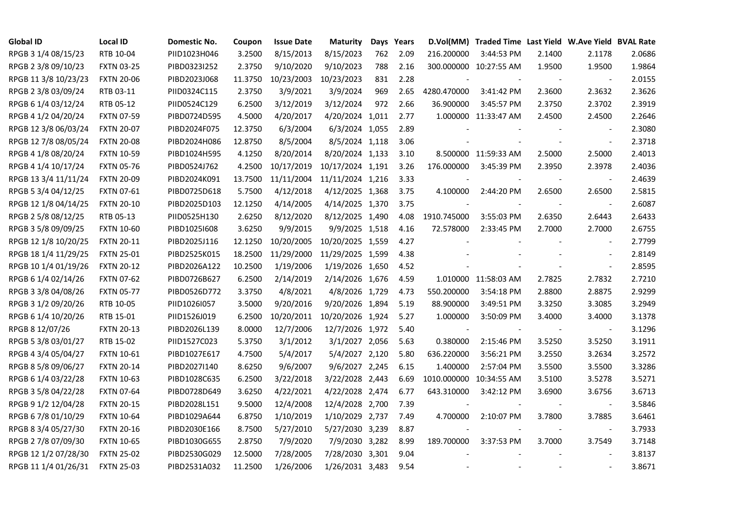| <b>Global ID</b>     | <b>Local ID</b>   | Domestic No. | Coupon  | <b>Issue Date</b> | <b>Maturity</b>  |     | Days Years |                          | D.Vol(MM) Traded Time Last Yield W.Ave Yield BVAL Rate |                |                          |        |
|----------------------|-------------------|--------------|---------|-------------------|------------------|-----|------------|--------------------------|--------------------------------------------------------|----------------|--------------------------|--------|
| RPGB 3 1/4 08/15/23  | RTB 10-04         | PIID1023H046 | 3.2500  | 8/15/2013         | 8/15/2023        | 762 | 2.09       | 216.200000               | 3:44:53 PM                                             | 2.1400         | 2.1178                   | 2.0686 |
| RPGB 2 3/8 09/10/23  | <b>FXTN 03-25</b> | PIBD0323I252 | 2.3750  | 9/10/2020         | 9/10/2023        | 788 | 2.16       |                          | 300.000000 10:27:55 AM                                 | 1.9500         | 1.9500                   | 1.9864 |
| RPGB 11 3/8 10/23/23 | <b>FXTN 20-06</b> | PIBD2023J068 | 11.3750 | 10/23/2003        | 10/23/2023       | 831 | 2.28       |                          |                                                        | $\sim$         | $\overline{\phantom{a}}$ | 2.0155 |
| RPGB 2 3/8 03/09/24  | RTB 03-11         | PIID0324C115 | 2.3750  | 3/9/2021          | 3/9/2024         | 969 | 2.65       | 4280.470000              | 3:41:42 PM                                             | 2.3600         | 2.3632                   | 2.3626 |
| RPGB 6 1/4 03/12/24  | RTB 05-12         | PIID0524C129 | 6.2500  | 3/12/2019         | 3/12/2024        | 972 | 2.66       | 36.900000                | 3:45:57 PM                                             | 2.3750         | 2.3702                   | 2.3919 |
| RPGB 4 1/2 04/20/24  | <b>FXTN 07-59</b> | PIBD0724D595 | 4.5000  | 4/20/2017         | 4/20/2024 1,011  |     | 2.77       |                          | 1.000000 11:33:47 AM                                   | 2.4500         | 2.4500                   | 2.2646 |
| RPGB 12 3/8 06/03/24 | <b>FXTN 20-07</b> | PIBD2024F075 | 12.3750 | 6/3/2004          | 6/3/2024 1,055   |     | 2.89       |                          |                                                        |                | $\blacksquare$           | 2.3080 |
| RPGB 12 7/8 08/05/24 | <b>FXTN 20-08</b> | PIBD2024H086 | 12.8750 | 8/5/2004          | 8/5/2024 1,118   |     | 3.06       |                          |                                                        |                | $\overline{\phantom{a}}$ | 2.3718 |
| RPGB 4 1/8 08/20/24  | <b>FXTN 10-59</b> | PIBD1024H595 | 4.1250  | 8/20/2014         | 8/20/2024 1,133  |     | 3.10       |                          | 8.500000 11:59:33 AM                                   | 2.5000         | 2.5000                   | 2.4013 |
| RPGB 4 1/4 10/17/24  | <b>FXTN 05-76</b> | PIBD0524J762 | 4.2500  | 10/17/2019        | 10/17/2024 1,191 |     | 3.26       | 176.000000               | 3:45:39 PM                                             | 2.3950         | 2.3978                   | 2.4036 |
| RPGB 13 3/4 11/11/24 | <b>FXTN 20-09</b> | PIBD2024K091 | 13.7500 | 11/11/2004        | 11/11/2024 1,216 |     | 3.33       | $\sim$                   |                                                        |                | $\blacksquare$           | 2.4639 |
| RPGB 5 3/4 04/12/25  | <b>FXTN 07-61</b> | PIBD0725D618 | 5.7500  | 4/12/2018         | 4/12/2025 1,368  |     | 3.75       | 4.100000                 | 2:44:20 PM                                             | 2.6500         | 2.6500                   | 2.5815 |
| RPGB 12 1/8 04/14/25 | <b>FXTN 20-10</b> | PIBD2025D103 | 12.1250 | 4/14/2005         | 4/14/2025 1,370  |     | 3.75       | $\overline{\phantom{a}}$ |                                                        |                | $\overline{\phantom{a}}$ | 2.6087 |
| RPGB 2 5/8 08/12/25  | RTB 05-13         | PIID0525H130 | 2.6250  | 8/12/2020         | 8/12/2025 1,490  |     | 4.08       | 1910.745000              | 3:55:03 PM                                             | 2.6350         | 2.6443                   | 2.6433 |
| RPGB 3 5/8 09/09/25  | <b>FXTN 10-60</b> | PIBD10251608 | 3.6250  | 9/9/2015          | 9/9/2025 1,518   |     | 4.16       | 72.578000                | 2:33:45 PM                                             | 2.7000         | 2.7000                   | 2.6755 |
| RPGB 12 1/8 10/20/25 | <b>FXTN 20-11</b> | PIBD2025J116 | 12.1250 | 10/20/2005        | 10/20/2025 1,559 |     | 4.27       |                          |                                                        |                |                          | 2.7799 |
| RPGB 18 1/4 11/29/25 | <b>FXTN 25-01</b> | PIBD2525K015 | 18.2500 | 11/29/2000        | 11/29/2025 1,599 |     | 4.38       |                          |                                                        |                | $\sim$                   | 2.8149 |
| RPGB 10 1/4 01/19/26 | <b>FXTN 20-12</b> | PIBD2026A122 | 10.2500 | 1/19/2006         | 1/19/2026 1,650  |     | 4.52       |                          |                                                        |                | $\overline{\phantom{a}}$ | 2.8595 |
| RPGB 6 1/4 02/14/26  | <b>FXTN 07-62</b> | PIBD0726B627 | 6.2500  | 2/14/2019         | 2/14/2026 1,676  |     | 4.59       |                          | 1.010000 11:58:03 AM                                   | 2.7825         | 2.7832                   | 2.7210 |
| RPGB 3 3/8 04/08/26  | <b>FXTN 05-77</b> | PIBD0526D772 | 3.3750  | 4/8/2021          | 4/8/2026 1,729   |     | 4.73       | 550.200000               | 3:54:18 PM                                             | 2.8800         | 2.8875                   | 2.9299 |
| RPGB 3 1/2 09/20/26  | RTB 10-05         | PIID1026I057 | 3.5000  | 9/20/2016         | 9/20/2026 1,894  |     | 5.19       | 88.900000                | 3:49:51 PM                                             | 3.3250         | 3.3085                   | 3.2949 |
| RPGB 6 1/4 10/20/26  | RTB 15-01         | PIID1526J019 | 6.2500  | 10/20/2011        | 10/20/2026 1,924 |     | 5.27       | 1.000000                 | 3:50:09 PM                                             | 3.4000         | 3.4000                   | 3.1378 |
| RPGB 8 12/07/26      | <b>FXTN 20-13</b> | PIBD2026L139 | 8.0000  | 12/7/2006         | 12/7/2026 1,972  |     | 5.40       |                          |                                                        |                |                          | 3.1296 |
| RPGB 5 3/8 03/01/27  | RTB 15-02         | PIID1527C023 | 5.3750  | 3/1/2012          | 3/1/2027 2,056   |     | 5.63       | 0.380000                 | 2:15:46 PM                                             | 3.5250         | 3.5250                   | 3.1911 |
| RPGB 4 3/4 05/04/27  | <b>FXTN 10-61</b> | PIBD1027E617 | 4.7500  | 5/4/2017          | 5/4/2027 2,120   |     | 5.80       | 636.220000               | 3:56:21 PM                                             | 3.2550         | 3.2634                   | 3.2572 |
| RPGB 8 5/8 09/06/27  | <b>FXTN 20-14</b> | PIBD2027I140 | 8.6250  | 9/6/2007          | 9/6/2027 2,245   |     | 6.15       | 1.400000                 | 2:57:04 PM                                             | 3.5500         | 3.5500                   | 3.3286 |
| RPGB 6 1/4 03/22/28  | <b>FXTN 10-63</b> | PIBD1028C635 | 6.2500  | 3/22/2018         | 3/22/2028 2,443  |     | 6.69       | 1010.000000 10:34:55 AM  |                                                        | 3.5100         | 3.5278                   | 3.5271 |
| RPGB 3 5/8 04/22/28  | <b>FXTN 07-64</b> | PIBD0728D649 | 3.6250  | 4/22/2021         | 4/22/2028 2,474  |     | 6.77       | 643.310000               | 3:42:12 PM                                             | 3.6900         | 3.6756                   | 3.6713 |
| RPGB 9 1/2 12/04/28  | <b>FXTN 20-15</b> | PIBD2028L151 | 9.5000  | 12/4/2008         | 12/4/2028 2,700  |     | 7.39       |                          |                                                        |                | $\overline{\phantom{a}}$ | 3.5846 |
| RPGB 67/8 01/10/29   | <b>FXTN 10-64</b> | PIBD1029A644 | 6.8750  | 1/10/2019         | 1/10/2029 2,737  |     | 7.49       | 4.700000                 | 2:10:07 PM                                             | 3.7800         | 3.7885                   | 3.6461 |
| RPGB 8 3/4 05/27/30  | <b>FXTN 20-16</b> | PIBD2030E166 | 8.7500  | 5/27/2010         | 5/27/2030 3,239  |     | 8.87       |                          |                                                        |                | $\overline{\phantom{a}}$ | 3.7933 |
| RPGB 2 7/8 07/09/30  | <b>FXTN 10-65</b> | PIBD1030G655 | 2.8750  | 7/9/2020          | 7/9/2030 3,282   |     | 8.99       | 189.700000               | 3:37:53 PM                                             | 3.7000         | 3.7549                   | 3.7148 |
| RPGB 12 1/2 07/28/30 | <b>FXTN 25-02</b> | PIBD2530G029 | 12.5000 | 7/28/2005         | 7/28/2030 3,301  |     | 9.04       |                          |                                                        |                | $\blacksquare$           | 3.8137 |
| RPGB 11 1/4 01/26/31 | <b>FXTN 25-03</b> | PIBD2531A032 | 11.2500 | 1/26/2006         | 1/26/2031 3,483  |     | 9.54       | $\blacksquare$           |                                                        | $\blacksquare$ | $\sim$                   | 3.8671 |